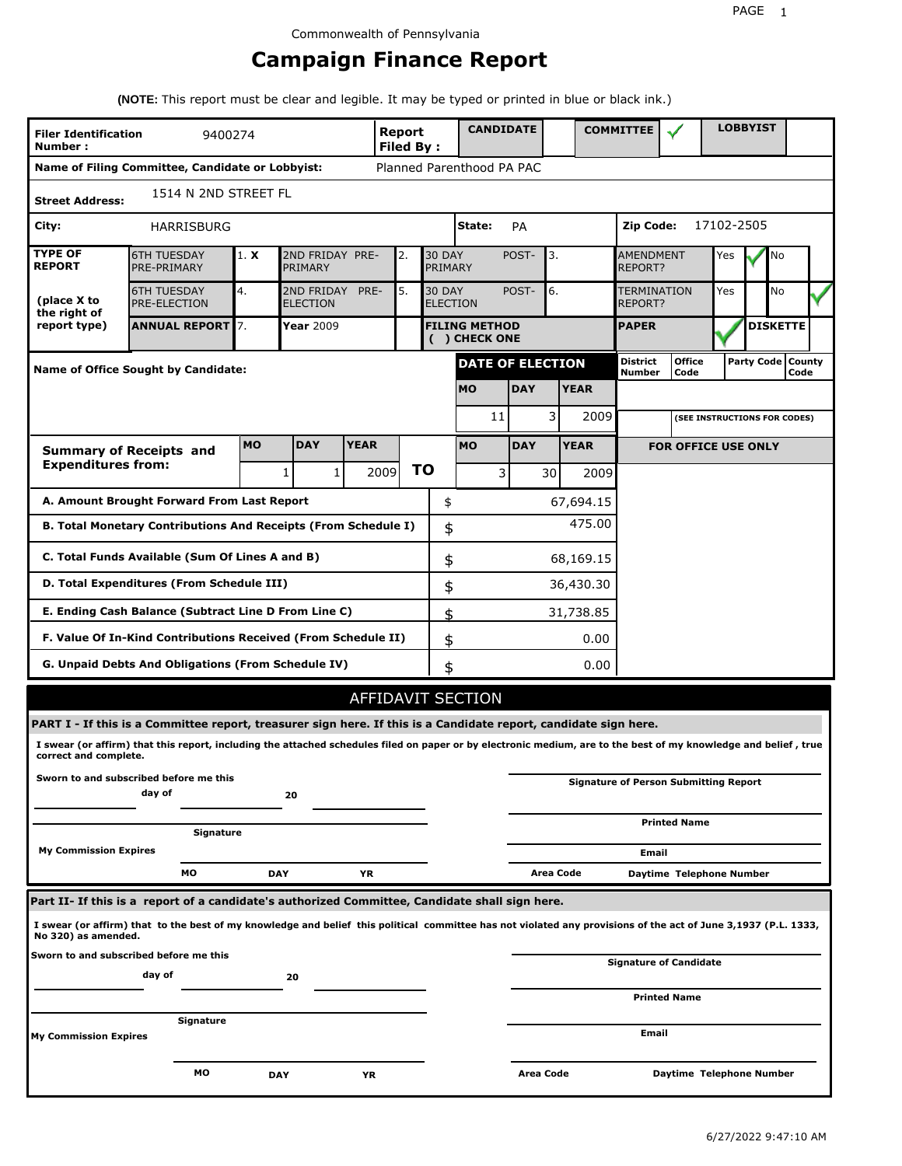# **Campaign Finance Report**

**(NOTE:** This report must be clear and legible. It may be typed or printed in blue or black ink.)

| <b>Filer Identification</b><br>Number:                                   | 9400274                                                                                                                                                         |            |                               |      | Report<br><b>Filed By:</b> |    |                                  | <b>CANDIDATE</b>                      |             |           |                                      | <b>COMMITTEE</b>                   |                                              |            | <b>LOBBYIST</b> |                             |  |
|--------------------------------------------------------------------------|-----------------------------------------------------------------------------------------------------------------------------------------------------------------|------------|-------------------------------|------|----------------------------|----|----------------------------------|---------------------------------------|-------------|-----------|--------------------------------------|------------------------------------|----------------------------------------------|------------|-----------------|-----------------------------|--|
|                                                                          | Name of Filing Committee, Candidate or Lobbyist:                                                                                                                |            |                               |      |                            |    |                                  | Planned Parenthood PA PAC             |             |           |                                      |                                    |                                              |            |                 |                             |  |
| <b>Street Address:</b>                                                   | 1514 N 2ND STREET FL                                                                                                                                            |            |                               |      |                            |    |                                  |                                       |             |           |                                      |                                    |                                              |            |                 |                             |  |
| City:                                                                    | <b>HARRISBURG</b>                                                                                                                                               |            |                               |      |                            |    |                                  | State:                                | PA          |           |                                      | Zip Code:                          |                                              | 17102-2505 |                 |                             |  |
| <b>TYPE OF</b><br><b>REPORT</b>                                          | <b>6TH TUESDAY</b><br>PRE-PRIMARY                                                                                                                               | 1. X       | 2ND FRIDAY PRE-<br>PRIMARY    |      | 2.                         |    | <b>30 DAY</b><br>PRIMARY         |                                       | POST-<br>3. |           |                                      | <b>AMENDMENT</b><br><b>REPORT?</b> |                                              | Yes        |                 | No                          |  |
| (place X to<br>the right of                                              | <b>6TH TUESDAY</b><br>PRE-ELECTION                                                                                                                              | 4.         | 2ND FRIDAY<br><b>ELECTION</b> | PRE- | 5.                         |    | <b>30 DAY</b><br><b>ELECTION</b> |                                       | 6.<br>POST- |           | <b>TERMINATION</b><br><b>REPORT?</b> |                                    | Yes                                          |            | No              |                             |  |
| report type)                                                             | <b>ANNUAL REPORT</b> 7.                                                                                                                                         |            | Year 2009                     |      |                            |    |                                  | <b>FILING METHOD</b><br>( ) CHECK ONE |             |           |                                      | <b>PAPER</b>                       |                                              |            |                 | <b>DISKETTE</b>             |  |
|                                                                          | <b>Name of Office Sought by Candidate:</b>                                                                                                                      |            |                               |      |                            |    |                                  | DATE OF ELECTION                      |             |           |                                      | District<br>Number                 | <b>Office</b><br>Code                        |            |                 | Party Code   County<br>Code |  |
|                                                                          |                                                                                                                                                                 |            |                               |      |                            |    |                                  | <b>MO</b>                             | <b>DAY</b>  |           | <b>YEAR</b>                          |                                    |                                              |            |                 |                             |  |
|                                                                          |                                                                                                                                                                 |            |                               |      |                            |    |                                  | 11                                    |             | 3         | 2009                                 |                                    | (SEE INSTRUCTIONS FOR CODES)                 |            |                 |                             |  |
| <b>MO</b><br><b>DAY</b><br><b>YEAR</b><br><b>Summary of Receipts and</b> |                                                                                                                                                                 |            |                               |      |                            |    |                                  | <b>MO</b>                             | <b>DAY</b>  |           | <b>YEAR</b>                          |                                    | <b>FOR OFFICE USE ONLY</b>                   |            |                 |                             |  |
| <b>Expenditures from:</b>                                                |                                                                                                                                                                 |            | $\mathbf{1}$<br>$\mathbf{1}$  |      | 2009                       | ΤO |                                  | 3                                     |             | 30        | 2009                                 |                                    |                                              |            |                 |                             |  |
|                                                                          | A. Amount Brought Forward From Last Report                                                                                                                      |            |                               |      |                            |    | \$                               |                                       |             |           | 67,694.15                            |                                    |                                              |            |                 |                             |  |
| B. Total Monetary Contributions And Receipts (From Schedule I)           |                                                                                                                                                                 |            |                               |      |                            |    | \$                               |                                       |             |           | 475.00                               |                                    |                                              |            |                 |                             |  |
| C. Total Funds Available (Sum Of Lines A and B)                          |                                                                                                                                                                 |            |                               |      |                            |    | \$                               |                                       |             |           | 68,169.15                            |                                    |                                              |            |                 |                             |  |
| D. Total Expenditures (From Schedule III)                                |                                                                                                                                                                 |            |                               |      |                            | \$ |                                  |                                       |             | 36,430.30 |                                      |                                    |                                              |            |                 |                             |  |
|                                                                          | E. Ending Cash Balance (Subtract Line D From Line C)                                                                                                            |            |                               |      |                            |    | \$                               |                                       |             |           | 31,738.85                            |                                    |                                              |            |                 |                             |  |
|                                                                          | F. Value Of In-Kind Contributions Received (From Schedule II)                                                                                                   |            |                               |      |                            |    | \$                               |                                       |             |           | 0.00                                 |                                    |                                              |            |                 |                             |  |
|                                                                          | G. Unpaid Debts And Obligations (From Schedule IV)                                                                                                              |            |                               |      |                            |    | \$                               |                                       |             |           | 0.00                                 |                                    |                                              |            |                 |                             |  |
|                                                                          |                                                                                                                                                                 |            |                               |      |                            |    |                                  | AFFIDAVIT SECTION                     |             |           |                                      |                                    |                                              |            |                 |                             |  |
|                                                                          | PART I - If this is a Committee report, treasurer sign here. If this is a Candidate report, candidate sign here.                                                |            |                               |      |                            |    |                                  |                                       |             |           |                                      |                                    |                                              |            |                 |                             |  |
| correct and complete.                                                    | I swear (or affirm) that this report, including the attached schedules filed on paper or by electronic medium, are to the best of my knowledge and belief, true |            |                               |      |                            |    |                                  |                                       |             |           |                                      |                                    |                                              |            |                 |                             |  |
|                                                                          | Sworn to and subscribed before me this<br>day of                                                                                                                |            | 20                            |      |                            |    |                                  |                                       |             |           |                                      |                                    | <b>Signature of Person Submitting Report</b> |            |                 |                             |  |
|                                                                          | Signature                                                                                                                                                       |            |                               |      |                            |    |                                  |                                       |             |           |                                      |                                    | <b>Printed Name</b>                          |            |                 |                             |  |
| <b>My Commission Expires</b>                                             |                                                                                                                                                                 |            |                               |      |                            |    |                                  |                                       |             |           |                                      | Email                              |                                              |            |                 |                             |  |
|                                                                          | МO                                                                                                                                                              | <b>DAY</b> |                               | ΥR   |                            |    |                                  |                                       |             | Area Code |                                      |                                    | Daytime Telephone Number                     |            |                 |                             |  |
|                                                                          | Part II- If this is a report of a candidate's authorized Committee, Candidate shall sign here.                                                                  |            |                               |      |                            |    |                                  |                                       |             |           |                                      |                                    |                                              |            |                 |                             |  |
| No 320) as amended.                                                      | I swear (or affirm) that to the best of my knowledge and belief this political committee has not violated any provisions of the act of June 3,1937 (P.L. 1333,  |            |                               |      |                            |    |                                  |                                       |             |           |                                      |                                    |                                              |            |                 |                             |  |
|                                                                          | Sworn to and subscribed before me this                                                                                                                          |            |                               |      |                            |    |                                  |                                       |             |           |                                      |                                    | Signature of Candidate                       |            |                 |                             |  |
|                                                                          | day of                                                                                                                                                          |            | 20                            |      |                            |    |                                  |                                       |             |           |                                      |                                    | <b>Printed Name</b>                          |            |                 |                             |  |
|                                                                          | Signature                                                                                                                                                       |            |                               |      |                            |    |                                  |                                       |             |           |                                      |                                    |                                              |            |                 |                             |  |
| <b>My Commission Expires</b>                                             |                                                                                                                                                                 |            |                               |      |                            |    |                                  |                                       |             |           |                                      | Email                              |                                              |            |                 |                             |  |
|                                                                          | мо                                                                                                                                                              | <b>DAY</b> |                               | YR   |                            |    |                                  |                                       | Area Code   |           |                                      |                                    | Daytime Telephone Number                     |            |                 |                             |  |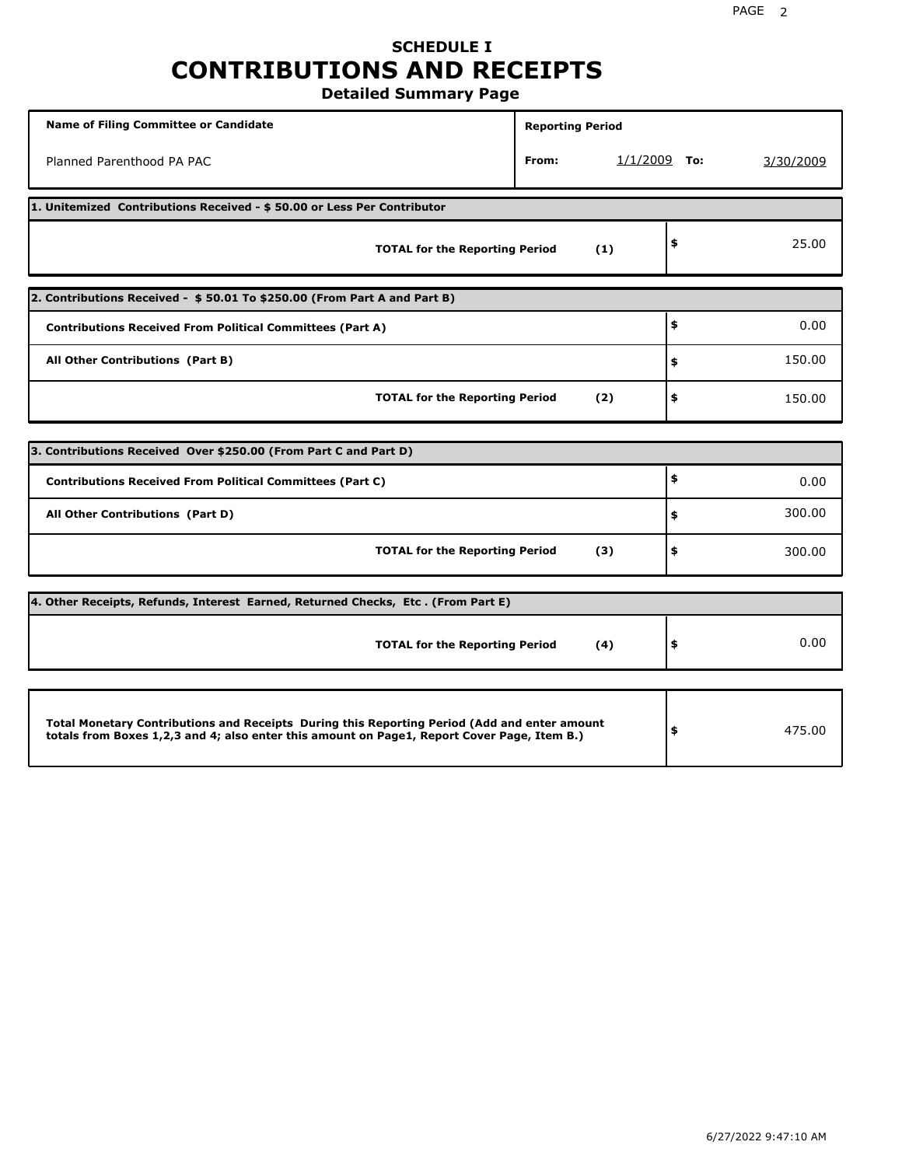### **SCHEDULE I CONTRIBUTIONS AND RECEIPTS Detailed Summary Page**

**Name of Filing Committee or Candidate Reporting Period Reporting Period** Planned Parenthood PA PAC **From:** 1/1/2009 **To:** 3/30/2009 **1. Unitemized Contributions Received - \$ 50.00 or Less Per Contributor TOTAL for the Reporting Period (1) \$** 25.00 **2. Contributions Received - \$ 50.01 To \$250.00 (From Part A and Part B) TOTAL for the Reporting Period (2) Contributions Received From Political Committees (Part A) All Other Contributions (Part B) \$ \$ \$** 0.00 150.00 150.00 **3. Contributions Received Over \$250.00 (From Part C and Part D) TOTAL for the Reporting Period (3) Contributions Received From Political Committees (Part C) All Other Contributions (Part D) \$ \$ \$** 0.00 300.00 300.00 **4. Other Receipts, Refunds, Interest Earned, Returned Checks, Etc . (From Part E) TOTAL for the Reporting Period (4) \$** 0.00 **Total Monetary Contributions and Receipts During this Reporting Period (Add and enter amount totals from Boxes 1,2,3 and 4; also enter this amount on Page1, Report Cover Page, Item B.) \$** 475.00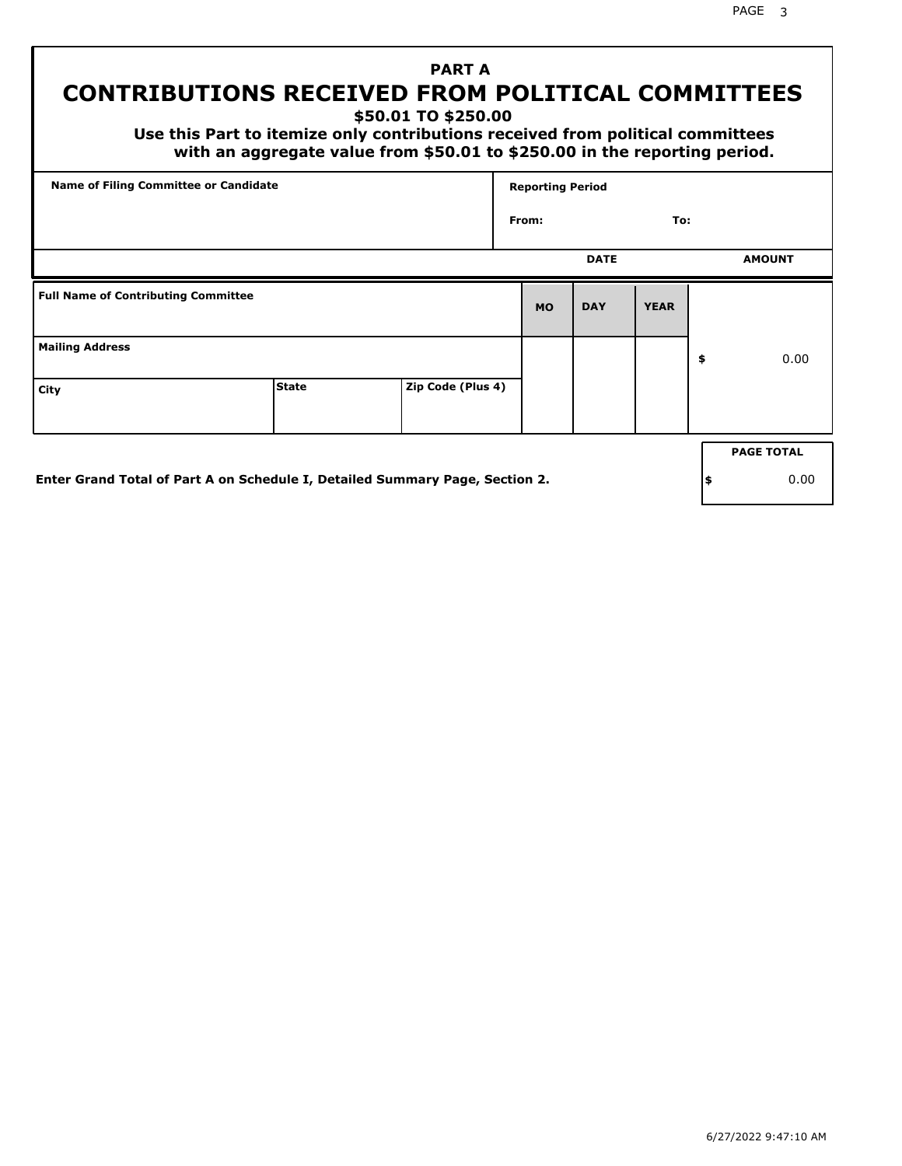PAGE 3

## **PART A CONTRIBUTIONS RECEIVED FROM POLITICAL COMMITTEES**

**\$50.01 TO \$250.00**

 **Use this Part to itemize only contributions received from political committees with an aggregate value from \$50.01 to \$250.00 in the reporting period.**

|                                            | <b>Name of Filing Committee or Candidate</b>                                 |                   |           | <b>Reporting Period</b> |             |    |                   |
|--------------------------------------------|------------------------------------------------------------------------------|-------------------|-----------|-------------------------|-------------|----|-------------------|
|                                            |                                                                              |                   | From:     |                         | To:         |    |                   |
|                                            |                                                                              |                   |           | <b>DATE</b>             |             |    | <b>AMOUNT</b>     |
| <b>Full Name of Contributing Committee</b> |                                                                              |                   | <b>MO</b> | <b>DAY</b>              | <b>YEAR</b> |    |                   |
| <b>Mailing Address</b>                     |                                                                              |                   |           |                         |             | \$ | 0.00              |
| City                                       | <b>State</b>                                                                 | Zip Code (Plus 4) |           |                         |             |    |                   |
|                                            |                                                                              |                   |           |                         |             |    | <b>PAGE TOTAL</b> |
|                                            | Enter Grand Total of Part A on Schedule I, Detailed Summary Page, Section 2. |                   |           |                         |             | \$ | 0.00              |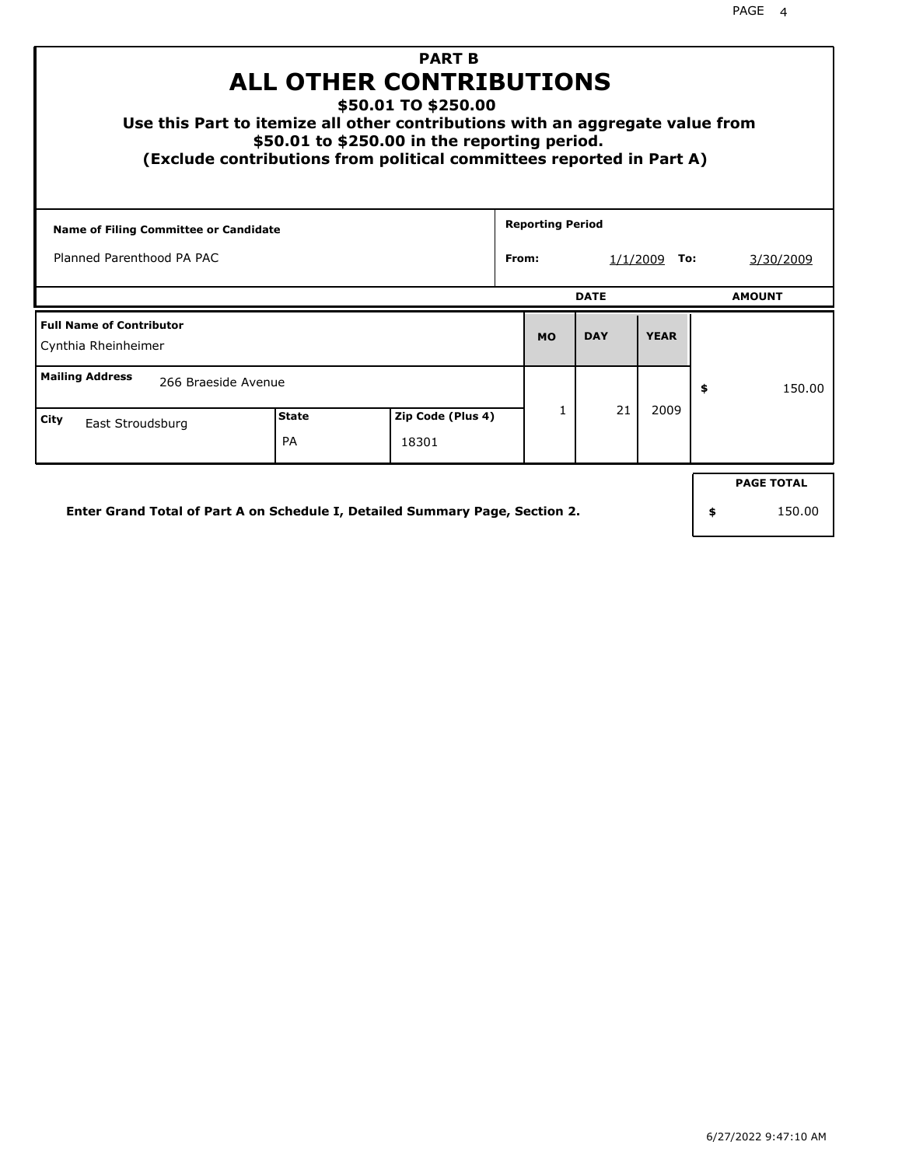| <b>PART B</b><br><b>ALL OTHER CONTRIBUTIONS</b><br>\$50.01 TO \$250.00<br>Use this Part to itemize all other contributions with an aggregate value from<br>\$50.01 to \$250.00 in the reporting period.<br>(Exclude contributions from political committees reported in Part A) |              |  |                   |       |                         |             |                  |    |                   |  |
|---------------------------------------------------------------------------------------------------------------------------------------------------------------------------------------------------------------------------------------------------------------------------------|--------------|--|-------------------|-------|-------------------------|-------------|------------------|----|-------------------|--|
| <b>Name of Filing Committee or Candidate</b>                                                                                                                                                                                                                                    |              |  |                   |       | <b>Reporting Period</b> |             |                  |    |                   |  |
| Planned Parenthood PA PAC                                                                                                                                                                                                                                                       |              |  |                   | From: |                         | 1/1/2009    | 3/30/2009<br>То: |    |                   |  |
|                                                                                                                                                                                                                                                                                 |              |  |                   |       |                         | <b>DATE</b> |                  |    | <b>AMOUNT</b>     |  |
| <b>Full Name of Contributor</b><br>Cynthia Rheinheimer                                                                                                                                                                                                                          |              |  |                   |       | <b>MO</b>               | <b>DAY</b>  | <b>YEAR</b>      |    |                   |  |
| <b>Mailing Address</b><br>266 Braeside Avenue                                                                                                                                                                                                                                   |              |  |                   |       |                         |             |                  | \$ | 150.00            |  |
| City<br>East Stroudsburg                                                                                                                                                                                                                                                        | <b>State</b> |  | Zip Code (Plus 4) |       | 1                       | 21          | 2009             |    |                   |  |
|                                                                                                                                                                                                                                                                                 | PA           |  | 18301             |       |                         |             |                  |    |                   |  |
|                                                                                                                                                                                                                                                                                 |              |  |                   |       |                         |             |                  |    | <b>PAGE TOTAL</b> |  |
| Enter Grand Total of Part A on Schedule I, Detailed Summary Page, Section 2.                                                                                                                                                                                                    |              |  |                   |       |                         |             |                  | \$ | 150.00            |  |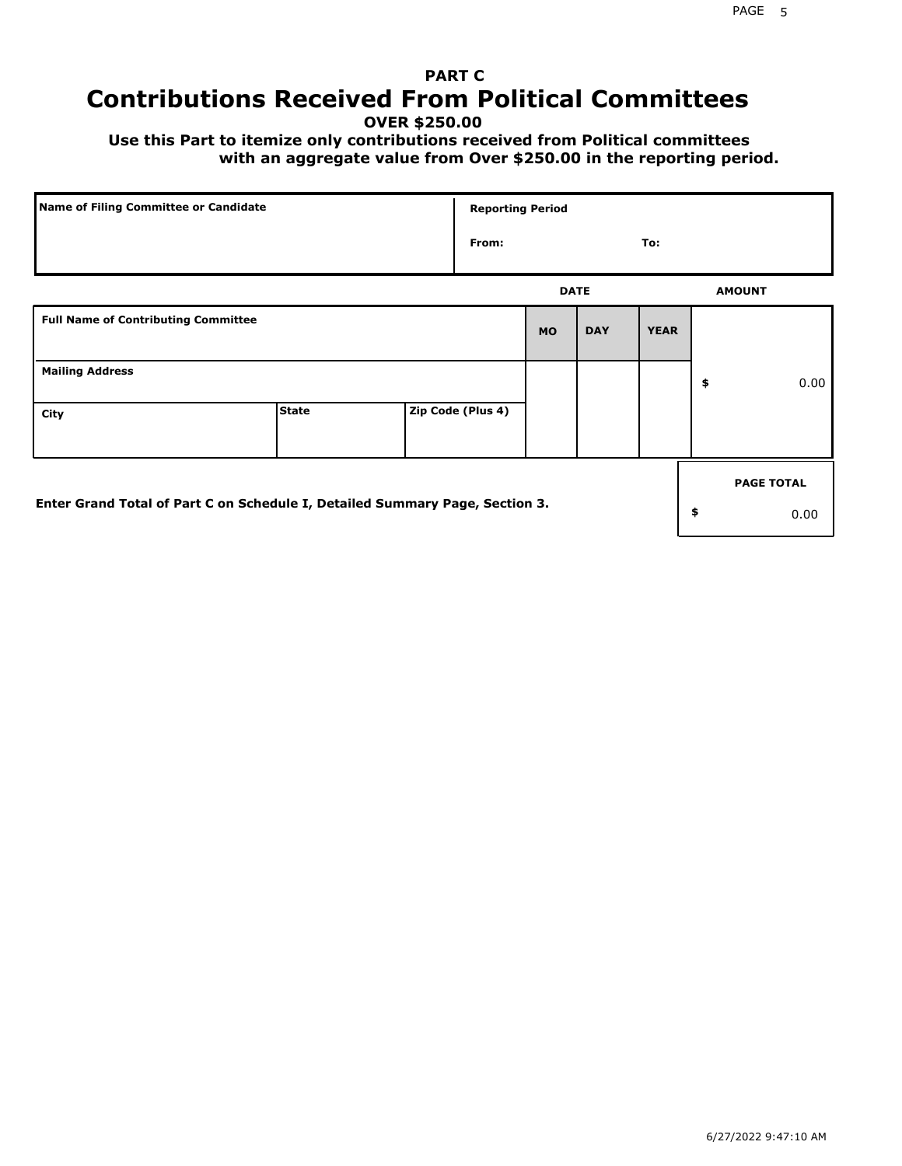## **PART C Contributions Received From Political Committees**

**OVER \$250.00**

 **Use this Part to itemize only contributions received from Political committees with an aggregate value from Over \$250.00 in the reporting period.**

| Name of Filing Committee or Candidate                                        |              | <b>Reporting Period</b> |             |            |             |    |                   |
|------------------------------------------------------------------------------|--------------|-------------------------|-------------|------------|-------------|----|-------------------|
|                                                                              |              | From:                   |             |            | To:         |    |                   |
|                                                                              |              |                         | <b>DATE</b> |            |             |    | <b>AMOUNT</b>     |
| <b>Full Name of Contributing Committee</b>                                   |              |                         | <b>MO</b>   | <b>DAY</b> | <b>YEAR</b> |    |                   |
| <b>Mailing Address</b>                                                       |              |                         |             |            |             | \$ | 0.00              |
| City                                                                         | <b>State</b> | Zip Code (Plus 4)       |             |            |             |    |                   |
|                                                                              |              |                         |             |            |             |    | <b>PAGE TOTAL</b> |
| Enter Grand Total of Part C on Schedule I, Detailed Summary Page, Section 3. |              |                         |             |            |             | \$ | 0.00              |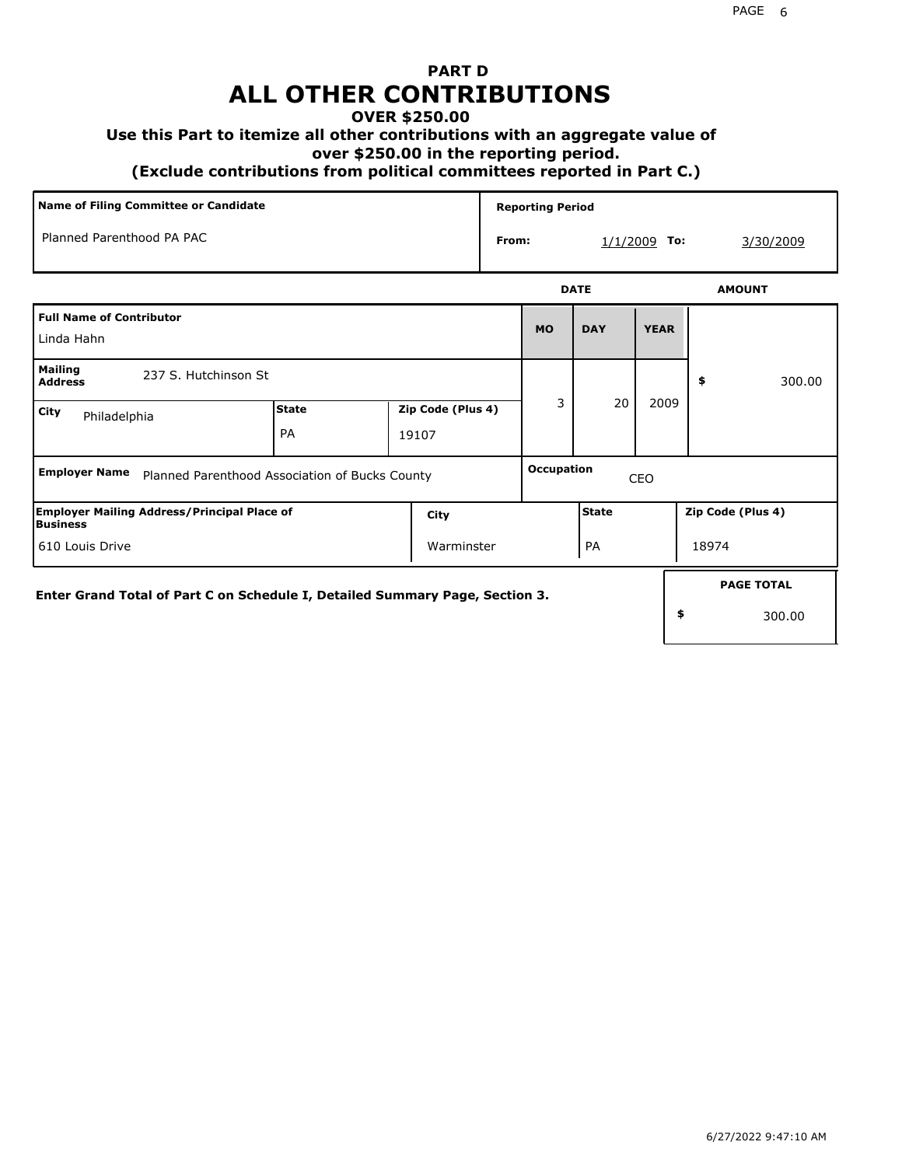## **PART D ALL OTHER CONTRIBUTIONS**

### **OVER \$250.00**

### **Use this Part to itemize all other contributions with an aggregate value of**

 **over \$250.00 in the reporting period.**

 **(Exclude contributions from political committees reported in Part C.)** 

|                                                                              | Name of Filing Committee or Candidate          |                            |                   | <b>Reporting Period</b> |                |             |                   |                   |
|------------------------------------------------------------------------------|------------------------------------------------|----------------------------|-------------------|-------------------------|----------------|-------------|-------------------|-------------------|
| Planned Parenthood PA PAC                                                    |                                                |                            | From:             |                         | $1/1/2009$ To: |             | 3/30/2009         |                   |
|                                                                              |                                                |                            |                   |                         | <b>DATE</b>    |             | <b>AMOUNT</b>     |                   |
| <b>Full Name of Contributor</b><br>Linda Hahn                                |                                                |                            |                   | <b>MO</b>               | <b>DAY</b>     | <b>YEAR</b> |                   |                   |
| <b>Mailing</b><br>237 S. Hutchinson St<br><b>Address</b>                     |                                                |                            |                   |                         |                |             | \$                | 300.00            |
| City<br>Philadelphia                                                         | <b>State</b><br>PA                             | Zip Code (Plus 4)<br>19107 |                   | 3                       | 20             | 2009        |                   |                   |
| <b>Employer Name</b>                                                         | Planned Parenthood Association of Bucks County |                            | Occupation<br>CEO |                         |                |             |                   |                   |
| <b>Employer Mailing Address/Principal Place of</b><br>Business               |                                                | City                       |                   |                         | State          |             | Zip Code (Plus 4) |                   |
| 610 Louis Drive<br>Warminster                                                |                                                |                            |                   | PA                      |                |             | 18974             |                   |
| Enter Grand Total of Part C on Schedule I, Detailed Summary Page, Section 3. |                                                |                            |                   |                         |                |             |                   | <b>PAGE TOTAL</b> |
|                                                                              |                                                |                            |                   |                         |                |             | \$                | 300.00            |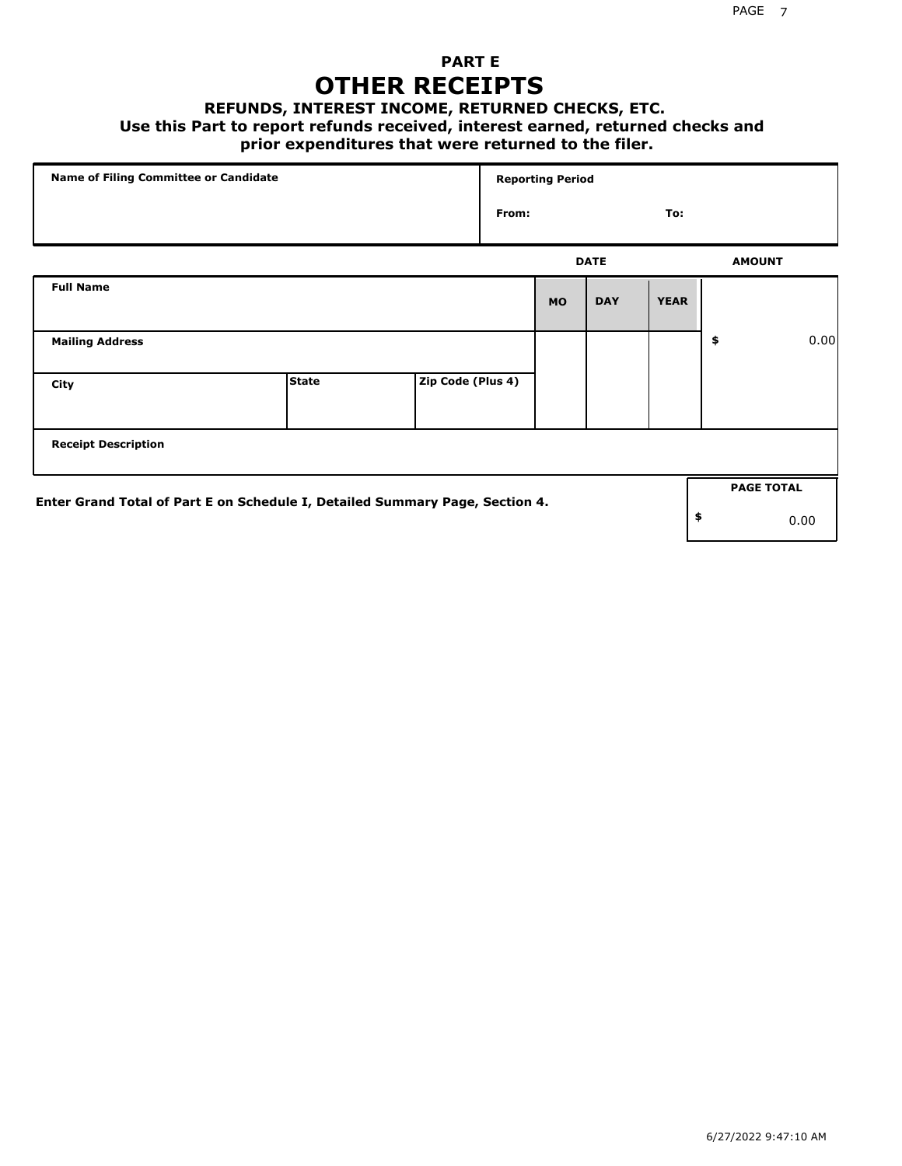### **PART E OTHER RECEIPTS**

#### **REFUNDS, INTEREST INCOME, RETURNED CHECKS, ETC.**

#### **Use this Part to report refunds received, interest earned, returned checks and**

### **prior expenditures that were returned to the filer.**

| Name of Filing Committee or Candidate                                        |              |                   | <b>Reporting Period</b> |           |             |             |    |                   |      |
|------------------------------------------------------------------------------|--------------|-------------------|-------------------------|-----------|-------------|-------------|----|-------------------|------|
|                                                                              |              |                   | From:<br>To:            |           |             |             |    |                   |      |
|                                                                              |              |                   |                         |           | <b>DATE</b> |             |    | <b>AMOUNT</b>     |      |
| <b>Full Name</b>                                                             |              |                   |                         | <b>MO</b> | <b>DAY</b>  | <b>YEAR</b> |    |                   |      |
| <b>Mailing Address</b>                                                       |              |                   |                         |           |             |             | \$ |                   | 0.00 |
| City                                                                         | <b>State</b> | Zip Code (Plus 4) |                         |           |             |             |    |                   |      |
| <b>Receipt Description</b>                                                   |              |                   |                         |           |             |             |    |                   |      |
|                                                                              |              |                   |                         |           |             |             |    | <b>PAGE TOTAL</b> |      |
| Enter Grand Total of Part E on Schedule I, Detailed Summary Page, Section 4. |              |                   |                         |           |             |             | \$ |                   | 0.00 |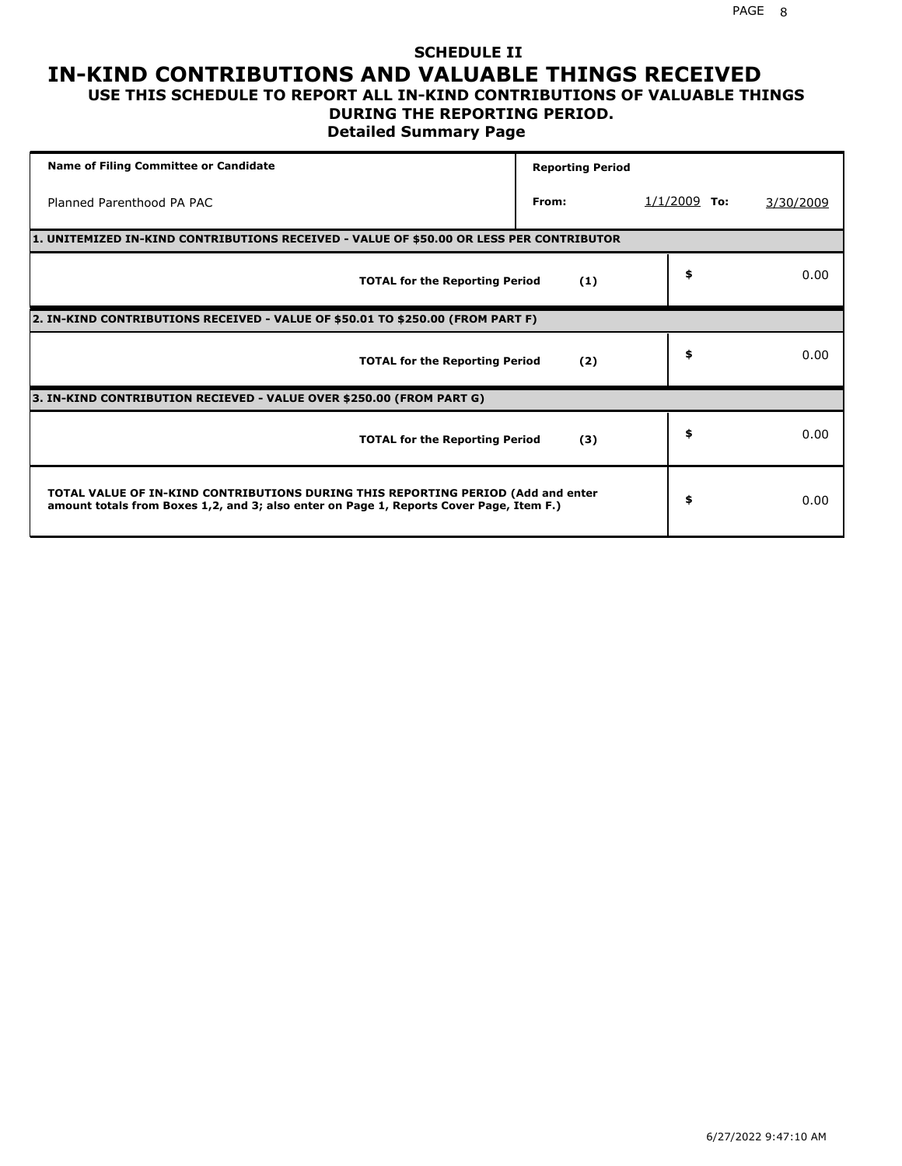### **SCHEDULE II IN-KIND CONTRIBUTIONS AND VALUABLE THINGS RECEIVED USE THIS SCHEDULE TO REPORT ALL IN-KIND CONTRIBUTIONS OF VALUABLE THINGS**

## **DURING THE REPORTING PERIOD.**

**Detailed Summary Page**

| <b>Name of Filing Committee or Candidate</b>                                                                                                                                | <b>Reporting Period</b> |                |           |
|-----------------------------------------------------------------------------------------------------------------------------------------------------------------------------|-------------------------|----------------|-----------|
| Planned Parenthood PA PAC                                                                                                                                                   | From:                   | $1/1/2009$ To: | 3/30/2009 |
| 1. UNITEMIZED IN-KIND CONTRIBUTIONS RECEIVED - VALUE OF \$50.00 OR LESS PER CONTRIBUTOR                                                                                     |                         |                |           |
| <b>TOTAL for the Reporting Period</b>                                                                                                                                       | (1)                     | \$             | 0.00      |
| 2. IN-KIND CONTRIBUTIONS RECEIVED - VALUE OF \$50.01 TO \$250.00 (FROM PART F)                                                                                              |                         |                |           |
| <b>TOTAL for the Reporting Period</b>                                                                                                                                       | (2)                     | \$             | 0.00      |
| 3. IN-KIND CONTRIBUTION RECIEVED - VALUE OVER \$250.00 (FROM PART G)                                                                                                        |                         |                |           |
| <b>TOTAL for the Reporting Period</b>                                                                                                                                       | (3)                     | \$             | 0.00      |
| TOTAL VALUE OF IN-KIND CONTRIBUTIONS DURING THIS REPORTING PERIOD (Add and enter<br>amount totals from Boxes 1,2, and 3; also enter on Page 1, Reports Cover Page, Item F.) |                         | \$             | 0.00      |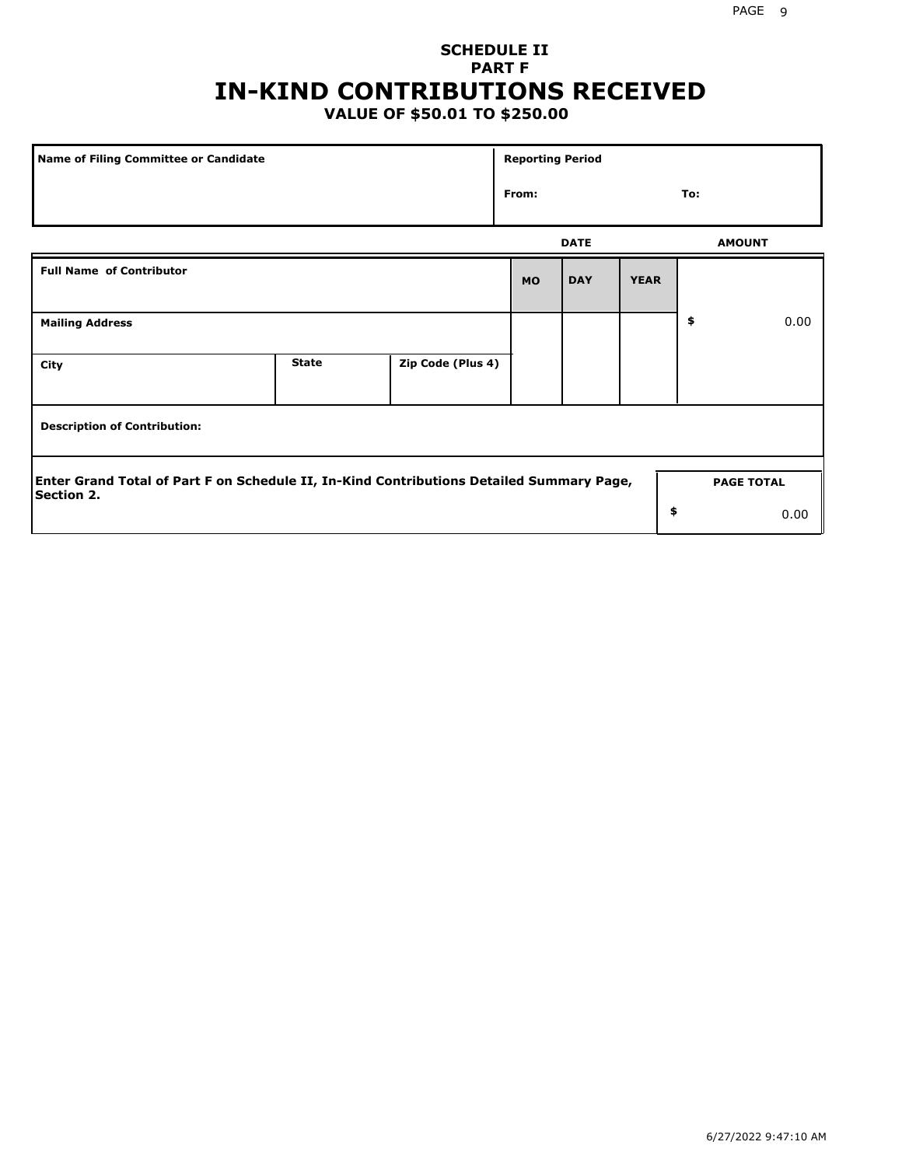## **SCHEDULE II PART F IN-KIND CONTRIBUTIONS RECEIVED**

## **VALUE OF \$50.01 TO \$250.00**

| Name of Filing Committee or Candidate                                                                         |              |                   | <b>Reporting Period</b> |             |             |                   |      |
|---------------------------------------------------------------------------------------------------------------|--------------|-------------------|-------------------------|-------------|-------------|-------------------|------|
|                                                                                                               |              |                   | From:                   |             |             | To:               |      |
|                                                                                                               |              |                   |                         | <b>DATE</b> |             | <b>AMOUNT</b>     |      |
| <b>Full Name of Contributor</b>                                                                               |              |                   | <b>MO</b>               | <b>DAY</b>  | <b>YEAR</b> |                   |      |
| <b>Mailing Address</b>                                                                                        |              |                   |                         |             |             | \$                | 0.00 |
| City                                                                                                          | <b>State</b> | Zip Code (Plus 4) |                         |             |             |                   |      |
| <b>Description of Contribution:</b>                                                                           |              |                   |                         |             |             |                   |      |
| Enter Grand Total of Part F on Schedule II, In-Kind Contributions Detailed Summary Page,<br><b>Section 2.</b> |              |                   |                         |             |             | <b>PAGE TOTAL</b> |      |
|                                                                                                               |              |                   |                         |             | \$          |                   | 0.00 |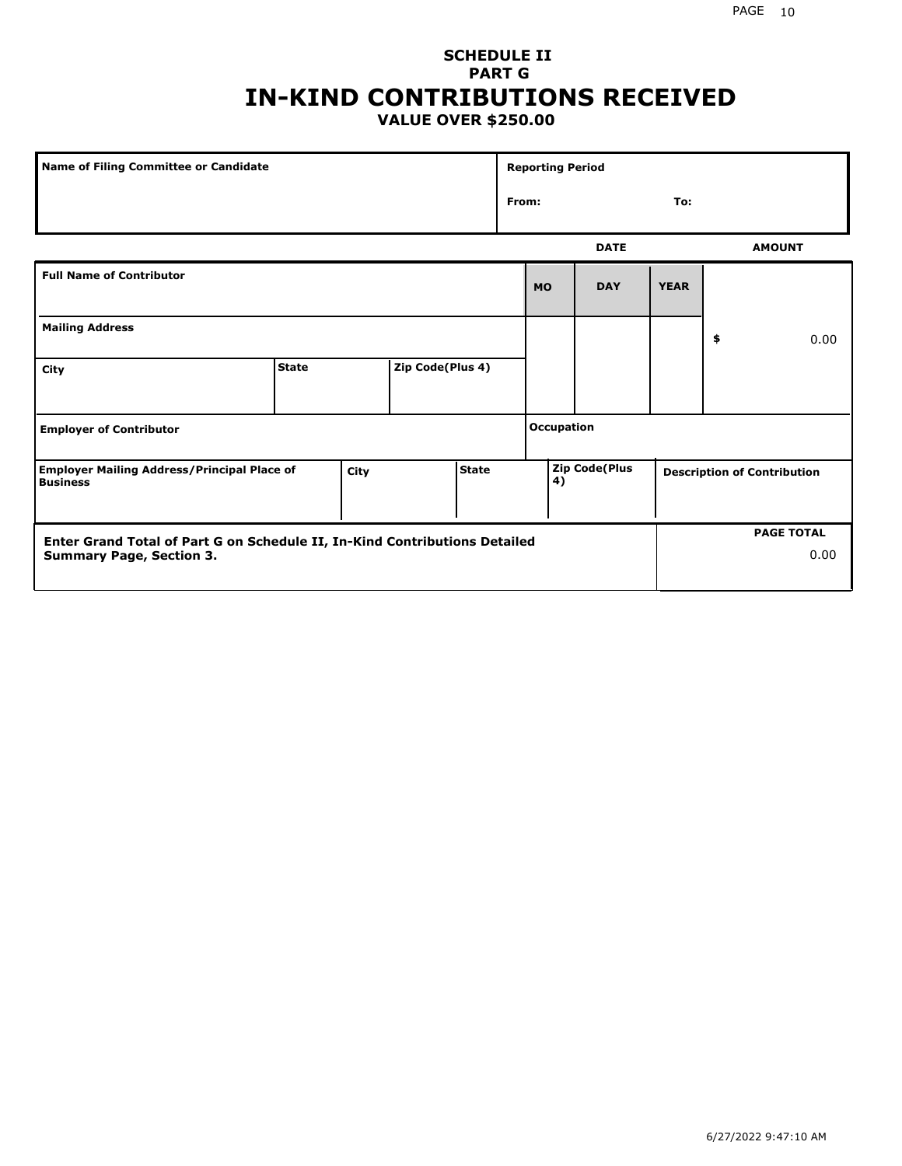### **SCHEDULE II PART G IN-KIND CONTRIBUTIONS RECEIVED VALUE OVER \$250.00**

| Name of Filing Committee or Candidate                                         |              |  |                  |                   | <b>Reporting Period</b> |                      |             |             |                                    |               |
|-------------------------------------------------------------------------------|--------------|--|------------------|-------------------|-------------------------|----------------------|-------------|-------------|------------------------------------|---------------|
|                                                                               |              |  |                  |                   |                         | From:<br>To:         |             |             |                                    |               |
|                                                                               |              |  |                  |                   |                         |                      | <b>DATE</b> |             |                                    | <b>AMOUNT</b> |
| <b>Full Name of Contributor</b>                                               |              |  |                  |                   |                         | <b>MO</b>            | <b>DAY</b>  | <b>YEAR</b> |                                    |               |
| <b>Mailing Address</b>                                                        |              |  |                  |                   |                         |                      |             |             | \$                                 | 0.00          |
| City                                                                          | <b>State</b> |  | Zip Code(Plus 4) |                   |                         |                      |             |             |                                    |               |
| <b>Employer of Contributor</b>                                                |              |  |                  | <b>Occupation</b> |                         |                      |             |             |                                    |               |
| <b>Employer Mailing Address/Principal Place of</b><br>City<br><b>Business</b> |              |  | <b>State</b>     |                   | 4)                      | <b>Zip Code(Plus</b> |             |             | <b>Description of Contribution</b> |               |

| Enter Grand Total of Part G on Schedule II, In-Kind Contributions Detailed |  | <b>PAGE TOTAL</b> |
|----------------------------------------------------------------------------|--|-------------------|
| <b>Summary Page, Section 3.</b>                                            |  | 0.00              |
|                                                                            |  |                   |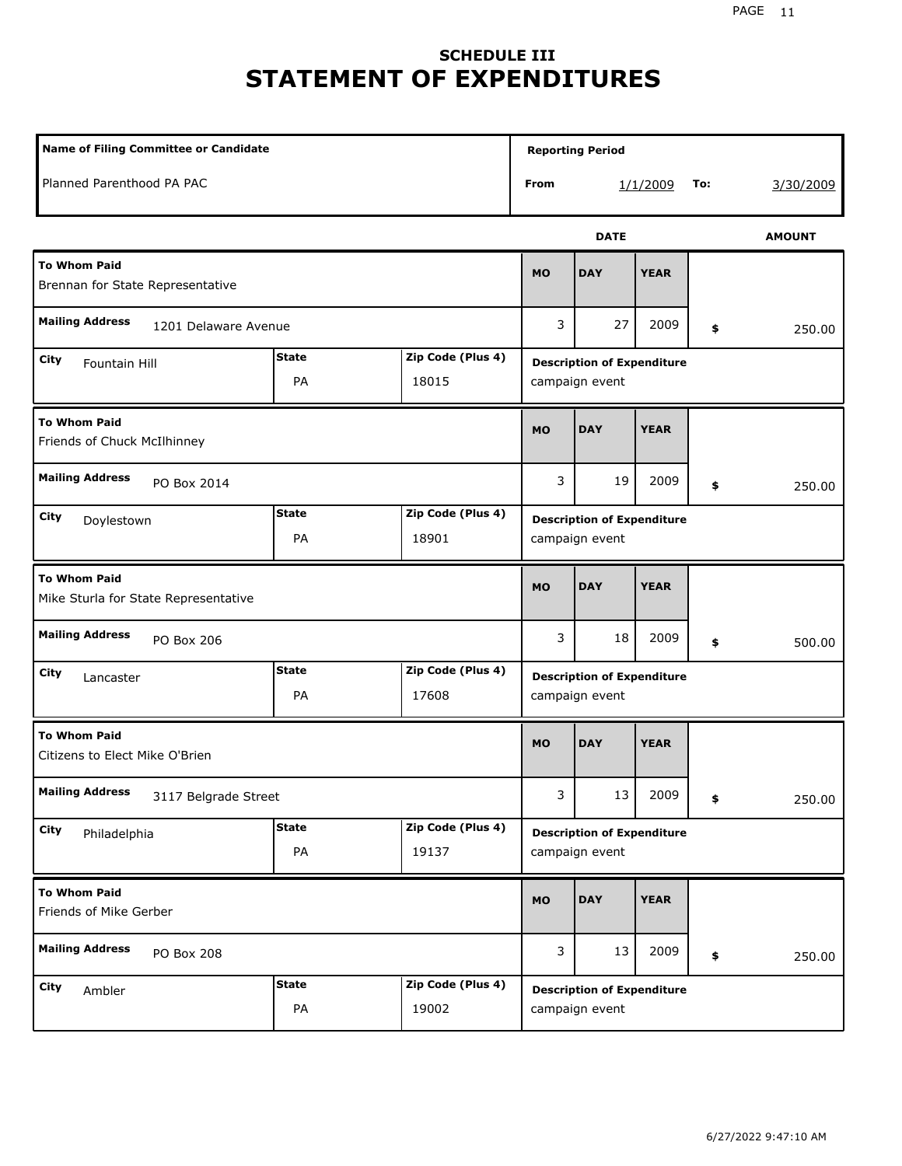## **SCHEDULE III STATEMENT OF EXPENDITURES**

| Name of Filing Committee or Candidate                                  |                    |                            |                                                     | <b>Reporting Period</b>                             |             |     |               |  |
|------------------------------------------------------------------------|--------------------|----------------------------|-----------------------------------------------------|-----------------------------------------------------|-------------|-----|---------------|--|
| Planned Parenthood PA PAC                                              |                    |                            | From                                                |                                                     | 1/1/2009    | To: | 3/30/2009     |  |
|                                                                        |                    |                            |                                                     | <b>DATE</b>                                         |             |     | <b>AMOUNT</b> |  |
| <b>To Whom Paid</b><br>Brennan for State Representative                |                    |                            | <b>MO</b>                                           | <b>DAY</b>                                          | <b>YEAR</b> |     |               |  |
| <b>Mailing Address</b><br>1201 Delaware Avenue                         |                    |                            | 3                                                   | 27                                                  | 2009        | \$  | 250.00        |  |
| City<br>Fountain Hill                                                  | <b>State</b><br>PA | Zip Code (Plus 4)<br>18015 |                                                     | <b>Description of Expenditure</b><br>campaign event |             |     |               |  |
| <b>To Whom Paid</b><br>Friends of Chuck McIlhinney                     |                    |                            |                                                     | <b>DAY</b>                                          | <b>YEAR</b> |     |               |  |
| <b>Mailing Address</b><br>PO Box 2014                                  |                    |                            |                                                     | 19                                                  | 2009        | \$  | 250.00        |  |
| <b>State</b><br>Zip Code (Plus 4)<br>City<br>Doylestown<br>PA<br>18901 |                    |                            |                                                     | <b>Description of Expenditure</b><br>campaign event |             |     |               |  |
| <b>To Whom Paid</b><br>Mike Sturla for State Representative            |                    |                            | <b>MO</b>                                           | <b>DAY</b>                                          | <b>YEAR</b> |     |               |  |
| <b>Mailing Address</b><br>PO Box 206                                   |                    |                            | 3                                                   | 18                                                  | 2009        | \$  | 500.00        |  |
| City<br>Lancaster                                                      | <b>State</b><br>PA | Zip Code (Plus 4)<br>17608 | <b>Description of Expenditure</b><br>campaign event |                                                     |             |     |               |  |
| <b>To Whom Paid</b><br>Citizens to Elect Mike O'Brien                  |                    |                            | <b>MO</b>                                           | <b>DAY</b>                                          | <b>YEAR</b> |     |               |  |
| <b>Mailing Address</b><br>3117 Belgrade Street                         |                    |                            | 3                                                   | 13                                                  | 2009        | \$  | 250.00        |  |
| City<br>Philadelphia                                                   | <b>State</b><br>PA | Zip Code (Plus 4)<br>19137 |                                                     | <b>Description of Expenditure</b><br>campaign event |             |     |               |  |
| <b>To Whom Paid</b><br>Friends of Mike Gerber                          |                    |                            | <b>MO</b>                                           | <b>DAY</b>                                          | <b>YEAR</b> |     |               |  |
| <b>Mailing Address</b><br>PO Box 208                                   |                    |                            | 3                                                   | 13                                                  | 2009        | \$  | 250.00        |  |
| City<br>Ambler                                                         | <b>State</b><br>PA | Zip Code (Plus 4)<br>19002 |                                                     | <b>Description of Expenditure</b><br>campaign event |             |     |               |  |